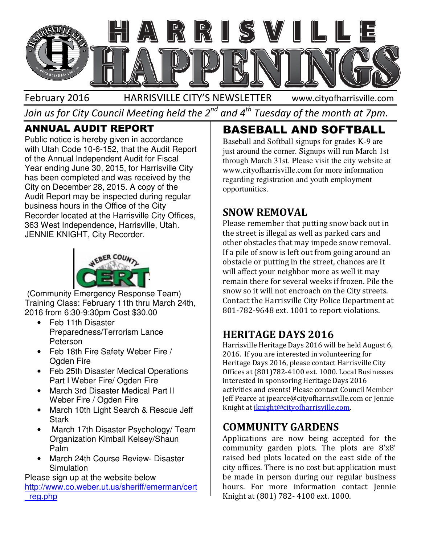

Join us for City Council Meeting held the 2 $^{\mathit{nd}}$  and 4 $^{\mathit{th}}$  Tuesday of the month at 7pm.

## **ANNUAL AUDIT REPORT**

Public notice is hereby given in accordance with Utah Code 10-6-152, that the Audit Report of the Annual Independent Audit for Fiscal Year ending June 30, 2015, for Harrisville City has been completed and was received by the City on December 28, 2015. A copy of the Audit Report may be inspected during regular business hours in the Office of the City Recorder located at the Harrisville City Offices, 363 West Independence, Harrisville, Utah. JENNIE KNIGHT, City Recorder. Public notice is hereby given in accorda<br>
with Utah Code 10-6-152, that the Audi<br>
of the Annual Independent Audit for Fis<br>
Year ending June 30, 2015, for Harrisvi<br>
has been completed and was received<br>
City on December 28,



(Community Emergency Response Team) Training Class: February 11th thru March 24th, 2016 from 6:30-9:30pm Cost \$30.00

- Feb 11th Disaster Preparedness/Terrorism Lance Peterson
- Feb 18th Fire Safety Weber Fire / Ogden Fire
- Feb 25th Disaster Medical Operations Part I Weber Fire/ Ogden Fire
- March 3rd Disaster Medical Part II Weber Fire / Ogden Fire
- March 10th Light Search & Rescue Jeff **Stark** 3rd Disaster Medical Part II<br>Fire / Ogden Fire<br>10th Light Search & Rescue<br>17th Disaster Psychology/ To<br>zation Kimball Kelsey/Shaun
- March 17th Disaster Psychology/ Team Organization Kimball Kelsey/Shaun Palm
- March 24th Course Review- Disaster Disaster **Simulation**

Please sign up at the website below http://www.co.weber.ut.us/sheriff/emerman/cert \_reg.php

# **BASEBALL AND SOFTBALL**

Baseball and Softball signups for grades K-9 are just around the corner. Signups will run March 1st through March 31st. Please visit the city website at www.cityofharrisville.com for more information regarding registration and youth employment opportunities.

## SNOW REMOVAL

**JALL AND SOFTBALL AND SOFTBALL AND SOFTBALL AND SOFTBALL AND SOFTBALL AND SOFTBALL AND SOFTBALL AND SOFTBALL AND SOFTBALL AND SOFTBALL AND SORT OF EXECUTE TO BE SIGN DRIFFINITION (THE SIGN UNITED THE SECTION INTERFERENCE** Please remember that putting snow back out in the street is illegal as well as parked cars and other obstacles that may impede snow removal. If a pile of snow is left out from going around an obstacle or putting in the street, chances are it will affect your neighbor more as well it may remain there for several weeks if frozen. Pile the snow so it will not encroach on the City streets. Contact the Harrisville City Police Department at 801-782-9648 ext. 1001 to report violations. Please remember that putting snow back out in<br>the street is illegal as well as parked cars and<br>other obstacles that may impede snow removal.<br>If a pile of snow is left out from going around an<br>obstacle or putting in the str

## HERITAGE DAYS 2016

Harrisville Heritage Days 2016 will be held August 6, 2016. If you are interested in volunteering for Heritage Days 2016, please contact Harrisville City Offices at (801)782-4100 ext. 1000. Local Businesses interested in sponsoring Heritage Days 2016 activities and events! Please contact Council Member Jeff Pearce at jpearce@cityofharrisville.com or Jennie Jeff Pearce at jpearce@cityofharrisville.com<br>Knight at <u>jknight@cityofharrisville.com</u>. , 2016, please contact Harrisville City<br>1)782-4100 ext. 1000. Local Businesses<br>sponsoring Heritage Days 2016<br>events! Please contact Council Member

## COMMUNITY GARDENS

Applications are now being accepted for the community garden plots. The plots are 8'x8' raised bed plots located on the east side of the city offices. There is no cost but application must be made in person during our regular business hours. For more information contact Jennie Knight at (801) 782- 4100 ext. 1000. raised bed plots located on the east side<br>city offices. There is no cost but application<br>be made in person during our regular bu<br>hours. For more information contact